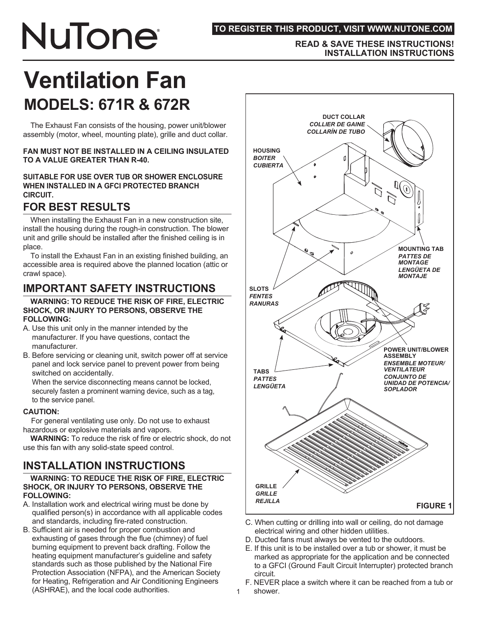## **TO REGISTER THIS PRODUCT, VISIT WWW.NUTONE.COM**

# **NuTone**

#### **READ & SAVE THESE INSTRUCTIONS! INSTALLATION INSTRUCTIONS**

## **Ventilation Fan MODELS: 671R & 672R**

 The Exhaust Fan consists of the housing, power unit/blower assembly (motor, wheel, mounting plate), grille and duct collar.

**FAN MUST NOT BE INSTALLED IN A CEILING INSULATED TO A VALUE GREATER THAN R-40.**

**SUITABLE FOR USE OVER TUB OR SHOWER ENCLOSURE WHEN INSTALLED IN A GFCI PROTECTED BRANCH CIRCUIT.**

## **FOR BEST RESULTS**

 When installing the Exhaust Fan in a new construction site, install the housing during the rough-in construction. The blower unit and grille should be installed after the finished ceiling is in place.

 To install the Exhaust Fan in an existing finished building, an accessible area is required above the planned location (attic or crawl space).

## **IMPORTANT SAFETY INSTRUCTIONS**

#### **WARNING: TO REDUCE THE RISK OF FIRE, ELECTRIC SHOCK, OR INJURY TO PERSONS, OBSERVE THE FOLLOWING:**

- A. Use this unit only in the manner intended by the manufacturer. If you have questions, contact the manufacturer.
- B. Before servicing or cleaning unit, switch power off at service panel and lock service panel to prevent power from being switched on accidentally.

When the service disconnecting means cannot be locked, securely fasten a prominent warning device, such as a tag, to the service panel.

#### **CAUTION:**

For general ventilating use only. Do not use to exhaust hazardous or explosive materials and vapors.

 **WARNING:** To reduce the risk of fire or electric shock, do not use this fan with any solid-state speed control.

## **INSTALLATION INSTRUCTIONS**

#### **WARNING: TO REDUCE THE RISK OF FIRE, ELECTRIC SHOCK, OR INJURY TO PERSONS, OBSERVE THE FOLLOWING:**

- A. Installation work and electrical wiring must be done by qualified person(s) in accordance with all applicable codes and standards, including fire-rated construction.
- B. Sufficient air is needed for proper combustion and exhausting of gases through the flue (chimney) of fuel burning equipment to prevent back drafting. Follow the heating equipment manufacturer's guideline and safety standards such as those published by the National Fire Protection Association (NFPA), and the American Society for Heating, Refrigeration and Air Conditioning Engineers (ASHRAE), and the local code authorities.



- C. When cutting or drilling into wall or ceiling, do not damage electrical wiring and other hidden utilities.
- D. Ducted fans must always be vented to the outdoors.

1

- E. If this unit is to be installed over a tub or shower, it must be marked as appropriate for the application and be connected to a GFCI (Ground Fault Circuit Interrupter) protected branch circuit.
- F. NEVER place a switch where it can be reached from a tub or shower.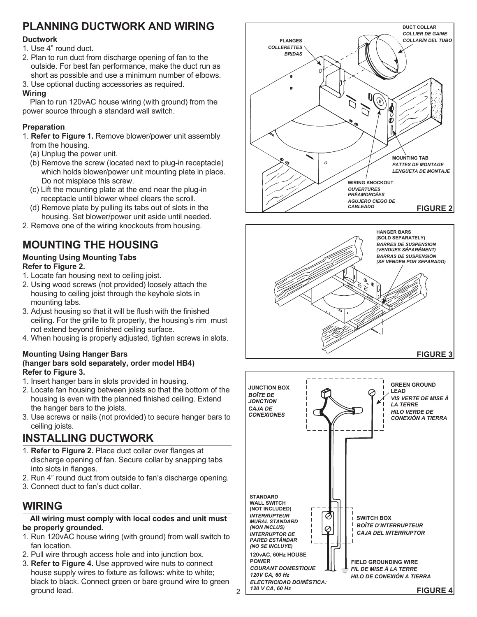## **PLANNING DUCTWORK AND WIRING**

#### **Ductwork**

- 1. Use 4" round duct.
- 2. Plan to run duct from discharge opening of fan to the outside. For best fan performance, make the duct run as short as possible and use a minimum number of elbows.
- 3. Use optional ducting accessories as required.

### **Wiring**

 Plan to run 120vAC house wiring (with ground) from the power source through a standard wall switch.

### **Preparation**

- 1. **Refer to Figure 1.** Remove blower/power unit assembly from the housing.
	- (a) Unplug the power unit.
	- (b) Remove the screw (located next to plug-in receptacle) which holds blower/power unit mounting plate in place. Do not misplace this screw.
	- (c) Lift the mounting plate at the end near the plug-in receptacle until blower wheel clears the scroll.
	- (d) Remove plate by pulling its tabs out of slots in the housing. Set blower/power unit aside until needed.
- 2. Remove one of the wiring knockouts from housing.

## **MOUNTING THE HOUSING**

#### **Mounting Using Mounting Tabs Refer to Figure 2.**

- 1. Locate fan housing next to ceiling joist.
- 2. Using wood screws (not provided) loosely attach the housing to ceiling joist through the keyhole slots in mounting tabs.
- 3. Adjust housing so that it will be flush with the finished ceiling. For the grille to fit properly, the housing's rim must not extend beyond finished ceiling surface.
- 4. When housing is properly adjusted, tighten screws in slots.

#### **Mounting Using Hanger Bars (hanger bars sold separately, order model HB4) Refer to Figure 3.**

- 1. Insert hanger bars in slots provided in housing.
- 2. Locate fan housing between joists so that the bottom of the housing is even with the planned finished ceiling. Extend the hanger bars to the joists.
- 3. Use screws or nails (not provided) to secure hanger bars to ceiling joists.

## **INSTALLING DUCTWORK**

- 1. **Refer to Figure 2.** Place duct collar over flanges at discharge opening of fan. Secure collar by snapping tabs into slots in flanges.
- 2. Run 4" round duct from outside to fan's discharge opening.
- 3. Connect duct to fan's duct collar.

## **WIRING**

#### **All wiring must comply with local codes and unit must be properly grounded.**

- 1. Run 120vAC house wiring (with ground) from wall switch to fan location.
- 2. Pull wire through access hole and into junction box.
- 3. **Refer to Figure 4.** Use approved wire nuts to connect house supply wires to fixture as follows: white to white; black to black. Connect green or bare ground wire to green ground lead.





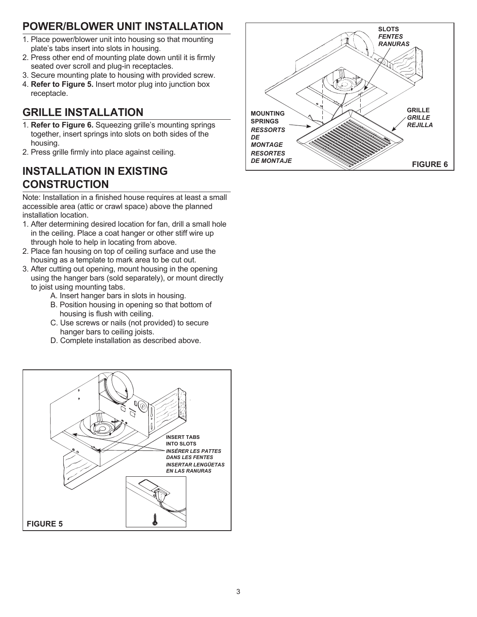## **POWER/BLOWER UNIT INSTALLATION**

- 1. Place power/blower unit into housing so that mounting plate's tabs insert into slots in housing.
- 2. Press other end of mounting plate down until it is firmly seated over scroll and plug-in receptacles.
- 3. Secure mounting plate to housing with provided screw.
- 4. **Refer to Figure 5.** Insert motor plug into junction box receptacle.

## **GRILLE INSTALLATION**

- 1. **Refer to Figure 6.** Squeezing grille's mounting springs together, insert springs into slots on both sides of the housing.
- 2. Press grille firmly into place against ceiling.

## **INSTALLATION IN EXISTING CONSTRUCTION**

Note: Installation in a finished house requires at least a small accessible area (attic or crawl space) above the planned installation location.

- 1. After determining desired location for fan, drill a small hole in the ceiling. Place a coat hanger or other stiff wire up through hole to help in locating from above.
- 2. Place fan housing on top of ceiling surface and use the housing as a template to mark area to be cut out.
- 3. After cutting out opening, mount housing in the opening using the hanger bars (sold separately), or mount directly to joist using mounting tabs.
	- A. Insert hanger bars in slots in housing.
	- B. Position housing in opening so that bottom of housing is flush with ceiling.
	- C. Use screws or nails (not provided) to secure hanger bars to ceiling joists.
	- D. Complete installation as described above.



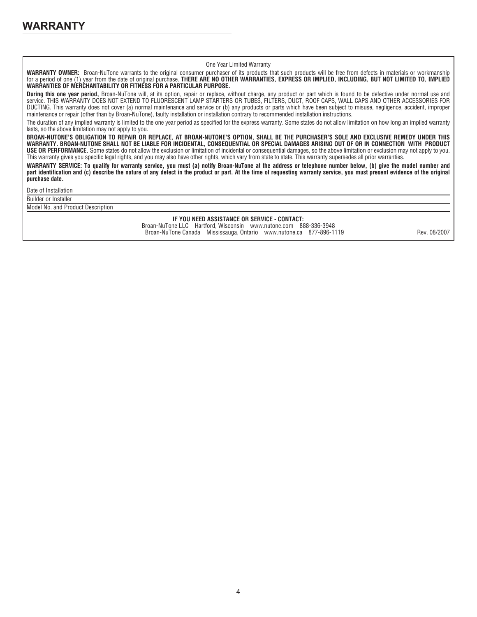#### One Year Limited Warranty

WARRANTY OWNER: Broan-NuTone warrants to the original consumer purchaser of its products that such products will be free from defects in materials or workmanship for a period of one (1) year from the date of original purchase. **THERE ARE NO OTHER WARRANTIES, EXPRESS OR IMPLIED, INCLUDING, BUT NOT LIMITED TO, IMPLIED WARRANTIES OF MERCHANTABILITY OR FITNESS FOR A PARTICULAR PURPOSE.** 

**During this one year period,** Broan-NuTone will, at its option, repair or replace, without charge, any product or part which is found to be defective under normal use and service. THIS WARRANTY DOES NOT EXTEND TO FLUORESCENT LAMP STARTERS OR TUBES, FILTERS, DUCT, ROOF CAPS, WALL CAPS AND OTHER ACCESSORIES FOR DUCTING. This warranty does not cover (a) normal maintenance and service or (b) any products or parts which have been subject to misuse, negligence, accident, improper maintenance or repair (other than by Broan-NuTone), faulty installation or installation contrary to recommended installation instructions.

The duration of any implied warranty is limited to the one year period as specified for the express warranty. Some states do not allow limitation on how long an implied warranty lasts, so the above limitation may not apply to you.

**BROAN-NUTONE'S OBLIGATION TO REPAIR OR REPLACE, AT BROAN-NUTONE'S OPTION, SHALL BE THE PURCHASER'S SOLE AND EXCLUSIVE REMEDY UNDER THIS WARRANTY. BROAN-NUTONE SHALL NOT BE LIABLE FOR INCIDENTAL, CONSEQUENTIAL OR SPECIAL DAMAGES ARISING OUT OF OR IN CONNECTION WITH PRODUCT USE OR PERFORMANCE.** Some states do not allow the exclusion or limitation of incidental or consequential damages, so the above limitation or exclusion may not apply to you. This warranty gives you specific legal rights, and you may also have other rights, which vary from state to state. This warranty supersedes all prior warranties.

**WARRANTY SERVICE: To qualify for warranty service, you must (a) notify Broan-NuTone at the address or telephone number below, (b) give the model number and**  part identification and (c) describe the nature of any defect in the product or part. At the time of requesting warranty service, you must present evidence of the original **purchase date.** 

Date of Installation

Builder or Installer Model No. and Product Description

**IF YOU NEED ASSISTANCE OR SERVICE - CONTACT:**

Broan-NuTone LLC Hartford, Wisconsin www.nutone.com 888-336-3948 Broan-NuTone Canada Mississauga, Ontario www.nutone.ca 877-896-1119 Rev. 08/2007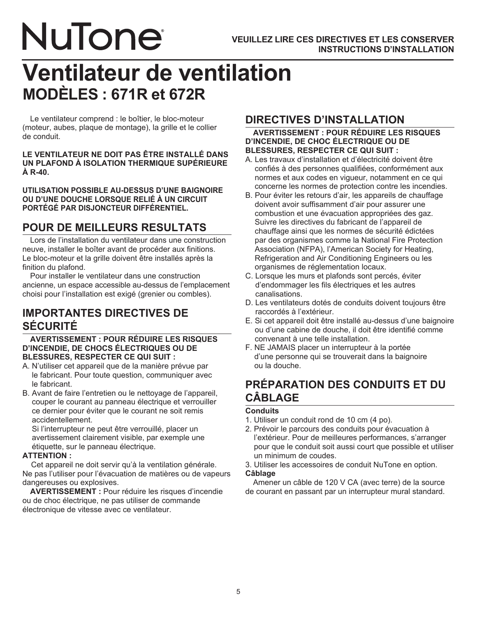# **NuTone**

## **Ventilateur de ventilation MODÈLES : 671R et 672R**

 Le ventilateur comprend : le boîtier, le bloc-moteur (moteur, aubes, plaque de montage), la grille et le collier de conduit.

**LE VENTILATEUR NE DOIT PAS ÊTRE INSTALLÉ DANS UN PLAFOND À ISOLATION THERMIQUE SUPÉRIEURE À R-40.**

**UTILISATION POSSIBLE AU-DESSUS D'UNE BAIGNOIRE OU D'UNE DOUCHE LORSQUE RELIÉ À UN CIRCUIT PORTÉGÉ PAR DISJONCTEUR DIFFÉRENTIEL.**

## **POUR DE MEILLEURS RESULTATS**

 Lors de l'installation du ventilateur dans une construction neuve, installer le boîter avant de procéder aux finitions. Le bloc-moteur et la grille doivent être installés après la finition du plafond.

 Pour installer le ventilateur dans une construction ancienne, un espace accessible au-dessus de l'emplacement choisi pour l'installation est exigé (grenier ou combles).

## **IMPORTANTES DIRECTIVES DE SÉCURITÉ**

#### **AVERTISSEMENT : POUR RÉDUIRE LES RISQUES D'INCENDIE, DE CHOCS ÉLECTRIQUES OU DE BLESSURES, RESPECTER CE QUI SUIT :**

- A. N'utiliser cet appareil que de la manière prévue par le fabricant. Pour toute question, communiquer avec le fabricant.
- B. Avant de faire l'entretien ou le nettoyage de l'appareil, couper le courant au panneau électrique et verrouiller ce dernier pour éviter que le courant ne soit remis accidentellement.

Si l'interrupteur ne peut être verrouillé, placer un avertissement clairement visible, par exemple une étiquette, sur le panneau électrique.

#### **ATTENTION :**

Cet appareil ne doit servir qu'à la ventilation générale. Ne pas l'utiliser pour l'évacuation de matières ou de vapeurs dangereuses ou explosives.

 **AVERTISSEMENT :** Pour réduire les risques d'incendie ou de choc électrique, ne pas utiliser de commande électronique de vitesse avec ce ventilateur.

## **DIRECTIVES D'INSTALLATION**

#### **AVERTISSEMENT : POUR RÉDUIRE LES RISQUES D'INCENDIE, DE CHOC ÉLECTRIQUE OU DE BLESSURES, RESPECTER CE QUI SUIT :**

- A. Les travaux d'installation et d'électricité doivent être confiés à des personnes qualifiées, conformément aux normes et aux codes en vigueur, notamment en ce qui concerne les normes de protection contre les incendies.
- B. Pour éviter les retours d'air, les appareils de chauffage doivent avoir suffisamment d'air pour assurer une combustion et une évacuation appropriées des gaz. Suivre les directives du fabricant de l'appareil de chauffage ainsi que les normes de sécurité édictées par des organismes comme la National Fire Protection Association (NFPA), l'American Society for Heating, Refrigeration and Air Conditioning Engineers ou les organismes de réglementation locaux.
- C. Lorsque les murs et plafonds sont percés, éviter d'endommager les fils électriques et les autres canalisations.
- D. Les ventilateurs dotés de conduits doivent toujours être raccordés à l'extérieur.
- E. Si cet appareil doit être installé au-dessus d'une baignoire ou d'une cabine de douche, il doit être identifié comme convenant à une telle installation.
- F. NE JAMAIS placer un interrupteur à la portée d'une personne qui se trouverait dans la baignoire ou la douche.

## **PRÉPARATION DES CONDUITS ET DU CÂBLAGE**

### **Conduits**

- 1. Utiliser un conduit rond de 10 cm (4 po).
- 2. Prévoir le parcours des conduits pour évacuation à l'extérieur. Pour de meilleures performances, s'arranger pour que le conduit soit aussi court que possible et utiliser un minimum de coudes.
- 3. Utiliser les accessoires de conduit NuTone en option.

#### **Câblage**

 Amener un câble de 120 V CA (avec terre) de la source de courant en passant par un interrupteur mural standard.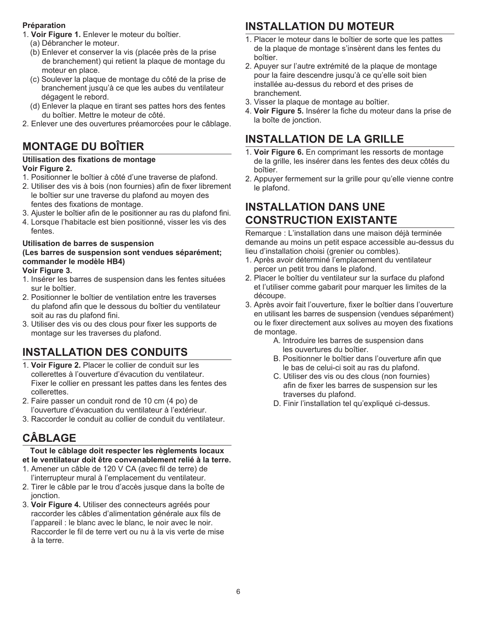## **Préparation**

- 1. **Voir Figure 1.** Enlever le moteur du boîtier.
	- (a) Débrancher le moteur.
	- (b) Enlever et conserver la vis (placée près de la prise de branchement) qui retient la plaque de montage du moteur en place.
	- (c) Soulever la plaque de montage du côté de la prise de branchement jusqu'à ce que les aubes du ventilateur dégagent le rebord.
	- (d) Enlever la plaque en tirant ses pattes hors des fentes du boîtier. Mettre le moteur de côté.
- 2. Enlever une des ouvertures préamorcées pour le câblage.

## **MONTAGE DU BOÎTIER**

#### **Utilisation des fixations de montage Voir Figure 2.**

- 1. Positionner le boîtier à côté d'une traverse de plafond.
- 2. Utiliser des vis à bois (non fournies) afin de fixer librement le boîtier sur une traverse du plafond au moyen des fentes des fixations de montage.
- 3. Ajuster le boîtier afin de le positionner au ras du plafond fini.
- 4. Lorsque l'habitacle est bien positionné, visser les vis des fentes.

#### **Utilisation de barres de suspension (Les barres de suspension sont vendues séparément; commander le modèle HB4)**

#### **Voir Figure 3.**

- 1. Insérer les barres de suspension dans les fentes situées sur le boîtier.
- 2. Positionner le boîtier de ventilation entre les traverses du plafond afin que le dessous du boîtier du ventilateur soit au ras du plafond fini.
- 3. Utiliser des vis ou des clous pour fixer les supports de montage sur les traverses du plafond.

## **INSTALLATION DES CONDUITS**

- 1. **Voir Figure 2.** Placer le collier de conduit sur les collerettes à l'ouverture d'évacution du ventilateur. Fixer le collier en pressant les pattes dans les fentes des collerettes.
- 2. Faire passer un conduit rond de 10 cm (4 po) de l'ouverture d'évacuation du ventilateur à l'extérieur.
- 3. Raccorder le conduit au collier de conduit du ventilateur.

## **CÂBLAGE**

#### **Tout le câblage doit respecter les règlements locaux et le ventilateur doit être convenablement relié à la terre.**

- 1. Amener un câble de 120 V CA (avec fil de terre) de l'interrupteur mural à l'emplacement du ventilateur.
- 2. Tirer le câble par le trou d'accès jusque dans la boîte de ionction.
- 3. **Voir Figure 4.** Utiliser des connecteurs agréés pour raccorder les câbles d'alimentation générale aux fils de l'appareil : le blanc avec le blanc, le noir avec le noir. Raccorder le fil de terre vert ou nu à la vis verte de mise à la terre.

## **INSTALLATION DU MOTEUR**

- 1. Placer le moteur dans le boîtier de sorte que les pattes de la plaque de montage s'insèrent dans les fentes du boîtier.
- 2. Apuyer sur l'autre extrémité de la plaque de montage pour la faire descendre jusqu'à ce qu'elle soit bien installée au-dessus du rebord et des prises de branchement.
- 3. Visser la plaque de montage au boîtier.
- 4. **Voir Figure 5.** Insérer la fiche du moteur dans la prise de la boîte de jonction.

## **INSTALLATION DE LA GRILLE**

- 1. **Voir Figure 6.** En comprimant les ressorts de montage de la grille, les insérer dans les fentes des deux côtés du boîtier.
- 2. Appuyer fermement sur la grille pour qu'elle vienne contre le plafond.

## **INSTALLATION DANS UNE CONSTRUCTION EXISTANTE**

Remarque : L'installation dans une maison déjà terminée demande au moins un petit espace accessible au-dessus du lieu d'installation choisi (grenier ou combles).

- 1. Après avoir déterminé l'emplacement du ventilateur percer un petit trou dans le plafond.
- 2. Placer le boîtier du ventilateur sur la surface du plafond et l'utiliser comme gabarit pour marquer les limites de la découpe.
- 3. Après avoir fait l'ouverture, fixer le boîtier dans l'ouverture en utilisant les barres de suspension (vendues séparément) ou le fixer directement aux solives au moyen des fixations de montage.
	- A. Introduire les barres de suspension dans les ouvertures du boîtier.
	- B. Positionner le boîtier dans l'ouverture afin que le bas de celui-ci soit au ras du plafond.
	- C. Utiliser des vis ou des clous (non fournies) afin de fixer les barres de suspension sur les traverses du plafond.
	- D. Finir l'installation tel qu'expliqué ci-dessus.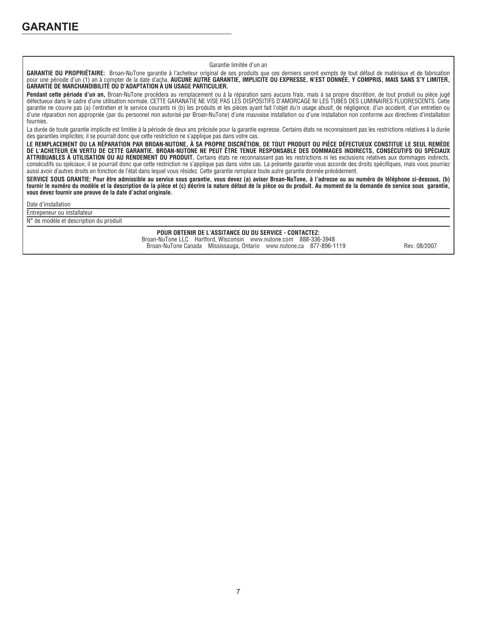#### Garantie limitée d'un an

**GARANTIE DU PROPRIÉTAIRE:** Broan-NuTone garantie à l'acheteur original de ses produits que ces derniers seront exmpts de tout défaut de matériaux et de fabrication pour une période d'un (1) an à compter de la date d'acha. **AUCUNE AUTRE GARANTIE, IMPLICITE OU EXPRESSE, N'EST DONNÉE, Y COMPRIS, MAIS SANS S'Y LIMITER, GARANTIE DE MARCHANDIBILITÉ OU D'ADAPTATION À UN USAGE PARTICULIER.**

Pendant cette période d'un an, Broan-NuTone procédera au remplacement ou à la réparation sans aucuns frais, mais à sa propre discrétion, de tout produit ou pièce jugé défectueux dans le cadre d'une utilisation normale. CETTE GARANATIE NE VISE PAS LES DISPOSITIFS D'AMORCAGE NI LES TUBES DES LUMINAIRES FLUORESCENTS. Cette garantie ne couvre pas (a) l'entretien et le service courants ni (b) les produits et les pièces ayant fait l'objet du'n usage abusif, de négligence, d'un accident, d'un entretien ou d'une réparation non appropriée (par du personnel non autorisé par Broan-NuTone) d'une mauvaise installation ou d'une installation non conforme aux directives d'installation fournies.

La durée de toute garantie implicite est limitée à la période de deux ans précisée pour la garantie expresse. Certains états ne reconnaissent pas les restrictions relatives à la durée des garanties implicites; il se pourrait donc que cette restriction ne s'applique pas dans votre cas.

**LE REMPLACEMENT OU LA RÉPARATION PAR BROAN-NUTONE, À SA PROPRE DISCRÉTION, DE TOUT PRODUIT OU PIÈCE DÉFECTUEUX CONSTITUE LE SEUL REMÈDE DE L'ACHETEUR EN VERTU DE CETTE GARANTIE. BROAN-NUTONE NE PEUT ÊTRE TENUE RESPONSABLE DES DOMMAGES INDIRECTS, CONSÉCUTIFS OU SPÉCIAUX ATTRIBUABLES À UTILISATION OU AU RENDEMENT DU PRODUIT.** Certains états ne reconnaissent pas les restrictions ni les exclusions relatives aux dommages indirects, consécutifs ou spéciaux; il se pourrait donc que cette restriction ne s'applique pas dans votre cas. La présente garantie vous accorde des droits spécifiques, mais vous pourriez aussi avoir d'autres droits en fonction de l'état dans lequel vous résidez. Cette garantie remplace toute autre garantie donnée précédement.

**SERVICE SOUS GRANTIE: Pour être admissible au service sous garantie, vous devez (a) aviser Broan-NuTone, à l'adresse ou au numéro de téléphone ci-dessous, (b) fournir le numéro du modèle et la description de la pièce et (c) décrire la nature défaut de la pièce ou du produit. Au moment de la demande de service sous garantie, vous devez fournir une preuve de la date d'achat originale.**

#### Date d'installation

#### Entrepeneur ou installateur

N° de modèle et description du produit

**POUR OBTENIR DE L'ASSITANCE OU DU SERVICE - CONTACTEZ:** Broan-NuTone LLC Hartford, Wisconsin www.nutone.com 888-336-3948 Broan-NuTone Canada Mississauga, Ontario www.nutone.ca 877-896-1119 Rev. 08/2007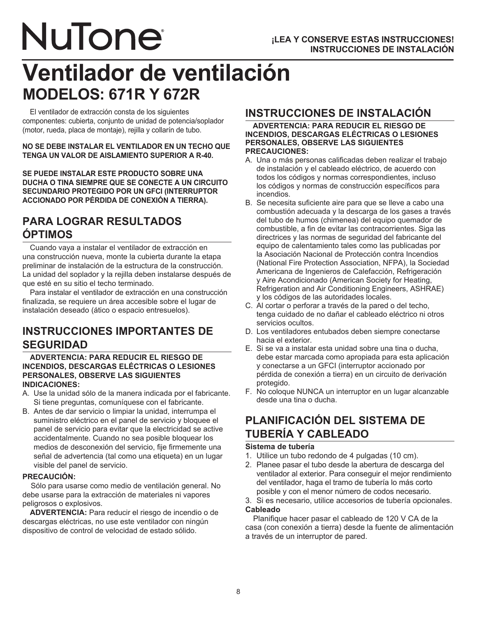# **NuTone**

## **Ventilador de ventilación MODELOS: 671R Y 672R**

 El ventilador de extracción consta de los siguientes componentes: cubierta, conjunto de unidad de potencia/soplador (motor, rueda, placa de montaje), rejilla y collarín de tubo.

#### **NO SE DEBE INSTALAR EL VENTILADOR EN UN TECHO QUE TENGA UN VALOR DE AISLAMIENTO SUPERIOR A R-40.**

**SE PUEDE INSTALAR ESTE PRODUCTO SOBRE UNA DUCHA O TINA SIEMPRE QUE SE CONECTE A UN CIRCUITO SECUNDARIO PROTEGIDO POR UN GFCI (INTERRUPTOR ACCIONADO POR PÉRDIDA DE CONEXIÓN A TIERRA).**

## **PARA LOGRAR RESULTADOS ÓPTIMOS**

 Cuando vaya a instalar el ventilador de extracción en una construcción nueva, monte la cubierta durante la etapa preliminar de instalación de la estructura de la construcción. La unidad del soplador y la rejilla deben instalarse después de que esté en su sitio el techo terminado.

 Para instalar el ventilador de extracción en una construcción finalizada, se requiere un área accesible sobre el lugar de instalación deseado (ático o espacio entresuelos).

## **INSTRUCCIONES IMPORTANTES DE SEGURIDAD**

#### **ADVERTENCIA: PARA REDUCIR EL RIESGO DE INCENDIOS, DESCARGAS ELÉCTRICAS O LESIONES PERSONALES, OBSERVE LAS SIGUIENTES INDICACIONES:**

- A. Use la unidad sólo de la manera indicada por el fabricante. Si tiene preguntas, comuníquese con el fabricante.
- B. Antes de dar servicio o limpiar la unidad, interrumpa el suministro eléctrico en el panel de servicio y bloquee el panel de servicio para evitar que la electricidad se active accidentalmente. Cuando no sea posible bloquear los medios de desconexión del servicio, fije firmemente una señal de advertencia (tal como una etiqueta) en un lugar visible del panel de servicio.

#### **PRECAUCIÓN:**

Sólo para usarse como medio de ventilación general. No debe usarse para la extracción de materiales ni vapores peligrosos o explosivos.

 **ADVERTENCIA:** Para reducir el riesgo de incendio o de descargas eléctricas, no use este ventilador con ningún dispositivo de control de velocidad de estado sólido.

## **INSTRUCCIONES DE INSTALACIÓN**

#### **ADVERTENCIA: PARA REDUCIR EL RIESGO DE INCENDIOS, DESCARGAS ELÉCTRICAS O LESIONES PERSONALES, OBSERVE LAS SIGUIENTES PRECAUCIONES:**

- A. Una o más personas calificadas deben realizar el trabajo de instalación y el cableado eléctrico, de acuerdo con todos los códigos y normas correspondientes, incluso los códigos y normas de construcción específicos para incendios.
- B. Se necesita suficiente aire para que se lleve a cabo una combustión adecuada y la descarga de los gases a través del tubo de humos (chimenea) del equipo quemador de combustible, a fin de evitar las contracorrientes. Siga las directrices y las normas de seguridad del fabricante del equipo de calentamiento tales como las publicadas por la Asociación Nacional de Protección contra Incendios (National Fire Protection Association, NFPA), la Sociedad Americana de Ingenieros de Calefacción, Refrigeración y Aire Acondicionado (American Society for Heating, Refrigeration and Air Conditioning Engineers, ASHRAE) y los códigos de las autoridades locales.
- C. Al cortar o perforar a través de la pared o del techo, tenga cuidado de no dañar el cableado eléctrico ni otros servicios ocultos.
- D. Los ventiladores entubados deben siempre conectarse hacia el exterior.
- E. Si se va a instalar esta unidad sobre una tina o ducha, debe estar marcada como apropiada para esta aplicación y conectarse a un GFCI (interruptor accionado por pérdida de conexión a tierra) en un circuito de derivación protegido.
- F. No coloque NUNCA un interruptor en un lugar alcanzable desde una tina o ducha.

## **PLANIFICACIÓN DEL SISTEMA DE TUBERÍA Y CABLEADO**

#### **Sistema de tubería**

- 1. Utilice un tubo redondo de 4 pulgadas (10 cm).
- 2. Planee pasar el tubo desde la abertura de descarga del ventilador al exterior. Para conseguir el mejor rendimiento del ventilador, haga el tramo de tubería lo más corto posible y con el menor número de codos necesario.

#### 3. Si es necesario, utilice accesorios de tubería opcionales. **Cableado**

 Planifique hacer pasar el cableado de 120 V CA de la casa (con conexión a tierra) desde la fuente de alimentación a través de un interruptor de pared.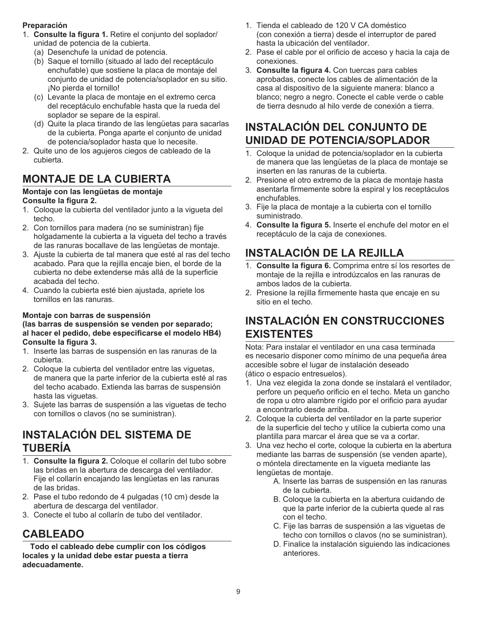### **Preparación**

- 1. **Consulte la figura 1.** Retire el conjunto del soplador/ unidad de potencia de la cubierta.
	- (a) Desenchufe la unidad de potencia.
	- (b) Saque el tornillo (situado al lado del receptáculo enchufable) que sostiene la placa de montaje del conjunto de unidad de potencia/soplador en su sitio. ¡No pierda el tornillo!
	- (c) Levante la placa de montaje en el extremo cerca del receptáculo enchufable hasta que la rueda del soplador se separe de la espiral.
	- (d) Quite la placa tirando de las lengüetas para sacarlas de la cubierta. Ponga aparte el conjunto de unidad de potencia/soplador hasta que lo necesite.
- 2. Quite uno de los agujeros ciegos de cableado de la cubierta.

## **MONTAJE DE LA CUBIERTA**

#### **Montaje con las lengüetas de montaje Consulte la figura 2.**

- 1. Coloque la cubierta del ventilador junto a la vigueta del techo.
- 2. Con tornillos para madera (no se suministran) fije holgadamente la cubierta a la vigueta del techo a través de las ranuras bocallave de las lengüetas de montaje.
- 3. Ajuste la cubierta de tal manera que esté al ras del techo acabado. Para que la rejilla encaje bien, el borde de la cubierta no debe extenderse más allá de la superficie acabada del techo.
- 4. Cuando la cubierta esté bien ajustada, apriete los tornillos en las ranuras.

#### **Montaje con barras de suspensión**

#### **(las barras de suspensión se venden por separado; al hacer el pedido, debe especificarse el modelo HB4) Consulte la figura 3.**

- 1. Inserte las barras de suspensión en las ranuras de la cubierta.
- 2. Coloque la cubierta del ventilador entre las viguetas, de manera que la parte inferior de la cubierta esté al ras del techo acabado. Extienda las barras de suspensión hasta las viguetas.
- 3. Sujete las barras de suspensión a las viguetas de techo con tornillos o clavos (no se suministran).

## **INSTALACIÓN DEL SISTEMA DE TUBERÍA**

- 1. **Consulte la figura 2.** Coloque el collarín del tubo sobre las bridas en la abertura de descarga del ventilador. Fije el collarín encajando las lengüetas en las ranuras de las bridas.
- 2. Pase el tubo redondo de 4 pulgadas (10 cm) desde la abertura de descarga del ventilador.
- 3. Conecte el tubo al collarín de tubo del ventilador.

## **CABLEADO**

 **Todo el cableado debe cumplir con los códigos locales y la unidad debe estar puesta a tierra adecuadamente.**

- 1. Tienda el cableado de 120 V CA doméstico (con conexión a tierra) desde el interruptor de pared hasta la ubicación del ventilador.
- 2. Pase el cable por el orificio de acceso y hacia la caja de conexiones.
- 3. **Consulte la figura 4.** Con tuercas para cables aprobadas, conecte los cables de alimentación de la casa al dispositivo de la siguiente manera: blanco a blanco; negro a negro. Conecte el cable verde o cable de tierra desnudo al hilo verde de conexión a tierra.

## **INSTALACIÓN DEL CONJUNTO DE UNIDAD DE POTENCIA/SOPLADOR**

- 1. Coloque la unidad de potencia/soplador en la cubierta de manera que las lengüetas de la placa de montaje se inserten en las ranuras de la cubierta.
- 2. Presione el otro extremo de la placa de montaje hasta asentarla firmemente sobre la espiral y los receptáculos enchufables.
- 3. Fije la placa de montaje a la cubierta con el tornillo suministrado.
- 4. **Consulte la figura 5.** Inserte el enchufe del motor en el receptáculo de la caja de conexiones.

## **INSTALACIÓN DE LA REJILLA**

- 1. **Consulte la figura 6.** Comprima entre sí los resortes de montaje de la rejilla e introdúzcalos en las ranuras de ambos lados de la cubierta.
- 2. Presione la rejilla firmemente hasta que encaje en su sitio en el techo.

## **INSTALACIÓN EN CONSTRUCCIONES EXISTENTES**

Nota: Para instalar el ventilador en una casa terminada es necesario disponer como mínimo de una pequeña área accesible sobre el lugar de instalación deseado (ático o espacio entresuelos).

- 1. Una vez elegida la zona donde se instalará el ventilador, perfore un pequeño orificio en el techo. Meta un gancho de ropa u otro alambre rígido por el orificio para ayudar a encontrarlo desde arriba.
- 2. Coloque la cubierta del ventilador en la parte superior de la superficie del techo y utilice la cubierta como una plantilla para marcar el área que se va a cortar.
- 3. Una vez hecho el corte, coloque la cubierta en la abertura mediante las barras de suspensión (se venden aparte), o móntela directamente en la vigueta mediante las lengüetas de montaje.
	- A. Inserte las barras de suspensión en las ranuras de la cubierta.
	- B. Coloque la cubierta en la abertura cuidando de que la parte inferior de la cubierta quede al ras con el techo.
	- C. Fije las barras de suspensión a las viguetas de techo con tornillos o clavos (no se suministran).
	- D. Finalice la instalación siguiendo las indicaciones anteriores.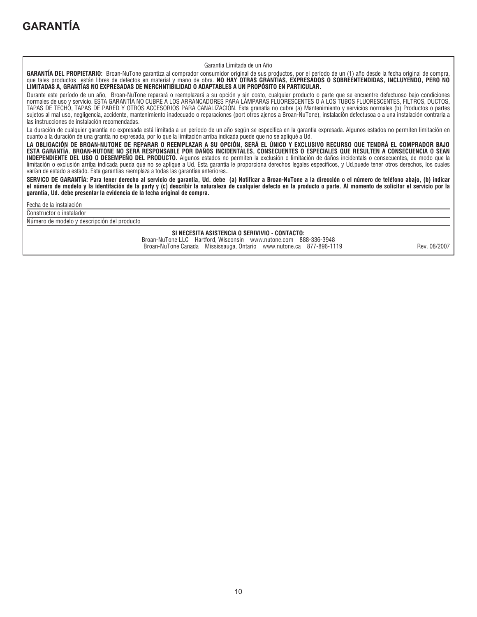#### Garantia Limitada de un Año

GARANTÍA DEL PROPIETARIO: Broan-NuTone garantiza al comprador consumidor original de sus productos, por el período de un (1) año desde la fecha original de compra, que tales productos están libres de defectos en material y mano de obra. **NO HAY OTRAS GRANTÍAS, EXPRESADOS O SOBREENTENDIDAS, INCLUYENDO, PERO NO LIMITADAS A, GRANTÍAS NO EXPRESADAS DE MERCHNTIBILIDAD O ADAPTABLES A UN PROPÓSITO EN PARTICULAR.** 

Durante este período de un año, Broan-NuTone reparará o reemplazará a su opción y sin costo, cualquier producto o parte que se encuentre defectuoso bajo condiciones normales de uso y servicio. ESTA GARANTÍA NO CUBRE A LOS ARRANCADORES PARA LÁMPARAS FLUORESCENTES O A LOS TUBOS FLUORESCENTES, FILTROS, DUCTOS, TAPAS DE TECHO, TAPAS DE PARED Y OTROS ACCESORIOS PARA CANALIZACIÓN. Esta granatía no cubre (a) Mantenimiento y servicios normales (b) Productos o partes sujetos al mal uso, negligencia, accidente, mantenimiento inadecuado o reparaciones (port otros ajenos a Broan-NuTone), instalación defectusoa o a una instalación contraria a las instrucciones de instalación recomendadas.

La duración de cualquier garantia no expresada está limitada a un periodo de un año según se especifica en la garantia expresada. Algunos estados no permiten limitación en cuanto a la duración de una grantia no expresada, por lo que la limitación arriba indicada puede que no se apliqué a Ud.

LA OBLIGACION DE BROAN-NUTONE DE REPARAR O REEMPLAZAR A SU OPCION, SERA EL UNICO Y EXCLUSIVO RECURSO QUE TENDRA EL COMPRADOR BAJO **ESTA GARANTÍA. BROAN-NUTONE NO SERÁ RESPONSABLE POR DAÑOS INCIDENTALES, CONSECUENTES O ESPECIALES QUE RESULTEN A CONSECUENCIA O SEAN INDEPENDIENTE DEL USO O DESEMPEÑO DEL PRODUCTO.** Algunos estados no permiten la exclusión o limitación de daños incidentals o consecuentes, de modo que la limitación o exclusión arriba indicada pueda que no se aplique a Ud. Esta garantia le proporciona derechos legales especificos, y Ud.puede tener otros derechos, los cuales varían de estado a estado. Esta garantias reemplaza a todas las garantías anteriores..

**SERVICO DE GARANTÍA: Para tener derecho al servicio de garantía, Ud. debe (a) Notificar a Broan-NuTone a la dirección o el número de teléfono abajo, (b) indicar el número de modelo y la identifación de la party y (c) describir la naturaleza de cualquier defecto en la producto o parte. Al momento de solicitor el servicio por la garantía, Ud. debe presentar la evidencia de la fecha original de compra.**

Fecha de la instalación

#### Constructor o instalador

Número de modelo y descripción del producto

**SI NECESITA ASISTENCIA O SERIVIVIO - CONTACTO:** Broan-NuTone LLC Hartford, Wisconsin www.nutone.com 888-336-3948 Broan-NuTone Canada Mississauga, Ontario www.nutone.ca 877-896-1119 Rev. 08/2007